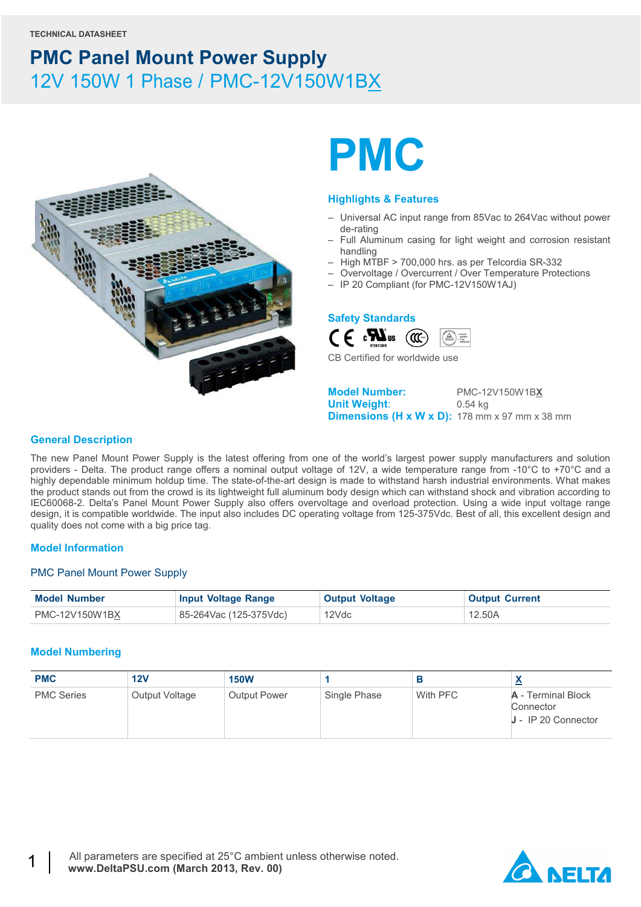

# **PMC**

#### **Highlights & Features**

- Universal AC input range from 85Vac to 264Vac without power de-rating
- Full Aluminum casing for light weight and corrosion resistant handling
- High MTBF > 700,000 hrs. as per Telcordia SR-332
- Overvoltage / Overcurrent / Over Temperature Protections
- IP 20 Compliant (for PMC-12V150W1AJ)

### **Safety Standards**



CB Certified for worldwide use

**Model Number:** PMC-12V150W1B**X Unit Weight**: 0.54 kg **Dimensions (H x W x D):** 178 mm x 97 mm x 38 mm

#### **General Description**

The new Panel Mount Power Supply is the latest offering from one of the world's largest power supply manufacturers and solution providers - Delta. The product range offers a nominal output voltage of 12V, a wide temperature range from -10°C to +70°C and a highly dependable minimum holdup time. The state-of-the-art design is made to withstand harsh industrial environments. What makes the product stands out from the crowd is its lightweight full aluminum body design which can withstand shock and vibration according to IEC60068-2. Delta's Panel Mount Power Supply also offers overvoltage and overload protection. Using a wide input voltage range design, it is compatible worldwide. The input also includes DC operating voltage from 125-375Vdc. Best of all, this excellent design and quality does not come with a big price tag.

#### **Model Information**

#### PMC Panel Mount Power Supply

| <b>Model Number</b> | <b>Input Voltage Range</b> | <b>Output Voltage</b> | <b>Output Current</b> |
|---------------------|----------------------------|-----------------------|-----------------------|
| PMC-12V150W1BX      | 85-264Vac (125-375Vdc)     | 12Vdc                 | 12.50A                |

#### **Model Numbering**

| <b>PMC</b>        | 12V            | <b>150W</b>         |              | в        |                                                          |
|-------------------|----------------|---------------------|--------------|----------|----------------------------------------------------------|
| <b>PMC Series</b> | Output Voltage | <b>Output Power</b> | Single Phase | With PFC | A - Terminal Block<br>Connector<br>$J - IP$ 20 Connector |

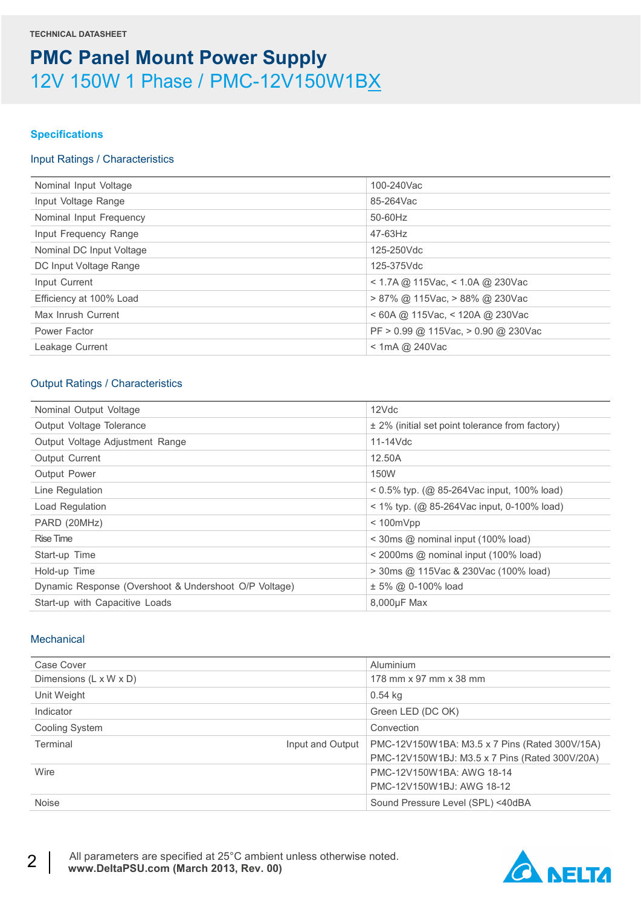#### **Specifications**

#### Input Ratings / Characteristics

| Nominal Input Voltage    | 100-240Vac                           |
|--------------------------|--------------------------------------|
| Input Voltage Range      | 85-264Vac                            |
| Nominal Input Frequency  | 50-60Hz                              |
| Input Frequency Range    | 47-63Hz                              |
| Nominal DC Input Voltage | 125-250Vdc                           |
| DC Input Voltage Range   | 125-375Vdc                           |
| Input Current            | < 1.7A @ 115Vac, < 1.0A @ 230Vac     |
| Efficiency at 100% Load  | $> 87\%$ @ 115Vac, $> 88\%$ @ 230Vac |
| Max Inrush Current       | $<$ 60A @ 115Vac, $<$ 120A @ 230Vac  |
| Power Factor             | PF > 0.99 @ 115Vac, > 0.90 @ 230Vac  |
| Leakage Current          | $<$ 1mA @ 240Vac                     |
|                          |                                      |

### Output Ratings / Characteristics

| Nominal Output Voltage                                | 12Vdc                                                     |
|-------------------------------------------------------|-----------------------------------------------------------|
| Output Voltage Tolerance                              | $\pm$ 2% (initial set point tolerance from factory)       |
| Output Voltage Adjustment Range                       | $11-14$ Vdc                                               |
| <b>Output Current</b>                                 | 12.50A                                                    |
| Output Power                                          | 150W                                                      |
| Line Regulation                                       | $0.5\%$ typ. (@ 85-264Vac input, 100% load)               |
| Load Regulation                                       | $<$ 1% typ. (@ 85-264Vac input, 0-100% load)              |
| PARD (20MHz)                                          | $< 100$ m $Vpp$                                           |
| Rise Time                                             | $\leq$ 30ms @ nominal input (100% load)                   |
| Start-up Time                                         | $\leq$ 2000ms $\textcircled{a}$ nominal input (100% load) |
| Hold-up Time                                          | $>$ 30 ms @ 115 Vac & 230 Vac (100% load)                 |
| Dynamic Response (Overshoot & Undershoot O/P Voltage) | $± 5\%$ @ 0-100% load                                     |
| Start-up with Capacitive Loads                        | 8,000µF Max                                               |
|                                                       |                                                           |

#### **Mechanical**

| Case Cover                   | Aluminium                                      |
|------------------------------|------------------------------------------------|
| Dimensions (L x W x D)       | 178 mm x 97 mm x 38 mm                         |
| Unit Weight                  | 0.54 kg                                        |
| Indicator                    | Green LED (DC OK)                              |
| Cooling System               | Convection                                     |
| Terminal<br>Input and Output | PMC-12V150W1BA: M3.5 x 7 Pins (Rated 300V/15A) |
|                              | PMC-12V150W1BJ: M3.5 x 7 Pins (Rated 300V/20A) |
| Wire                         | PMC-12V150W1BA: AWG 18-14                      |
|                              | PMC-12V150W1BJ: AWG 18-12                      |
| <b>Noise</b>                 | Sound Pressure Level (SPL) <40dBA              |

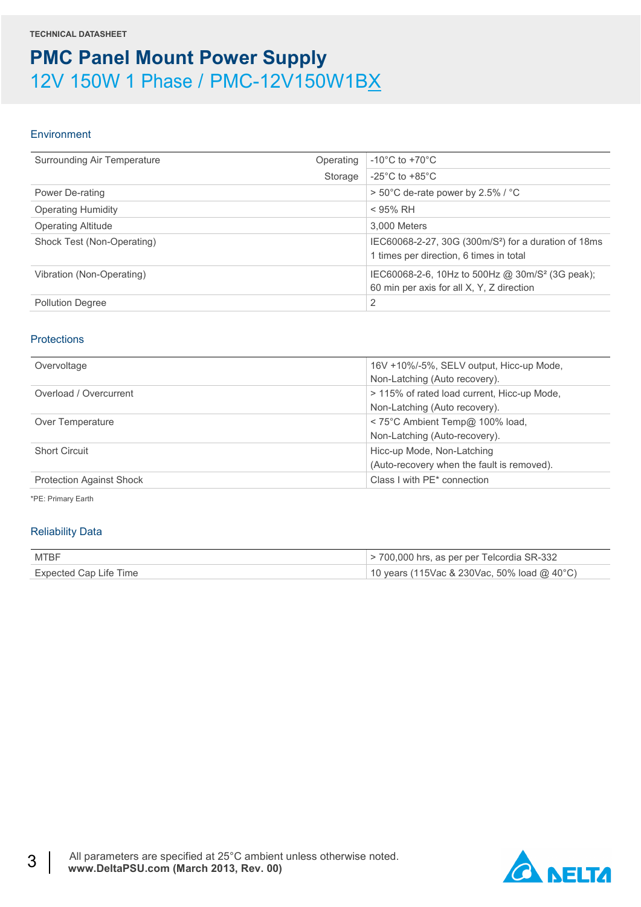#### Environment

| Surrounding Air Temperature | Operating | $-10^{\circ}$ C to $+70^{\circ}$ C                                                                          |
|-----------------------------|-----------|-------------------------------------------------------------------------------------------------------------|
|                             | Storage   | $-25^{\circ}$ C to $+85^{\circ}$ C                                                                          |
| Power De-rating             |           | > 50°C de-rate power by 2.5% / °C                                                                           |
| <b>Operating Humidity</b>   |           | $<$ 95% RH                                                                                                  |
| <b>Operating Altitude</b>   |           | 3.000 Meters                                                                                                |
| Shock Test (Non-Operating)  |           | IEC60068-2-27, 30G (300m/S <sup>2</sup> ) for a duration of 18ms<br>1 times per direction, 6 times in total |
| Vibration (Non-Operating)   |           | IEC60068-2-6, 10Hz to 500Hz @ 30m/S <sup>2</sup> (3G peak);<br>60 min per axis for all X, Y, Z direction    |
| <b>Pollution Degree</b>     |           | 2                                                                                                           |

#### **Protections**

| Overvoltage                     | 16V +10%/-5%, SELV output, Hicc-up Mode,<br>Non-Latching (Auto recovery). |
|---------------------------------|---------------------------------------------------------------------------|
| Overload / Overcurrent          | > 115% of rated load current, Hicc-up Mode,                               |
|                                 | Non-Latching (Auto recovery).                                             |
| Over Temperature                | < 75°C Ambient Temp@ 100% load,                                           |
|                                 | Non-Latching (Auto-recovery).                                             |
| <b>Short Circuit</b>            | Hicc-up Mode, Non-Latching                                                |
|                                 | (Auto-recovery when the fault is removed).                                |
| <b>Protection Against Shock</b> | Class I with PE* connection                                               |

\*PE: Primary Earth

#### Reliability Data

| MTBF                   | $>$ 700,000 hrs, as per per Telcordia SR-332 |
|------------------------|----------------------------------------------|
| Expected Cap Life Time | 10 years (115Vac & 230Vac, 50% load @ 40°C)  |

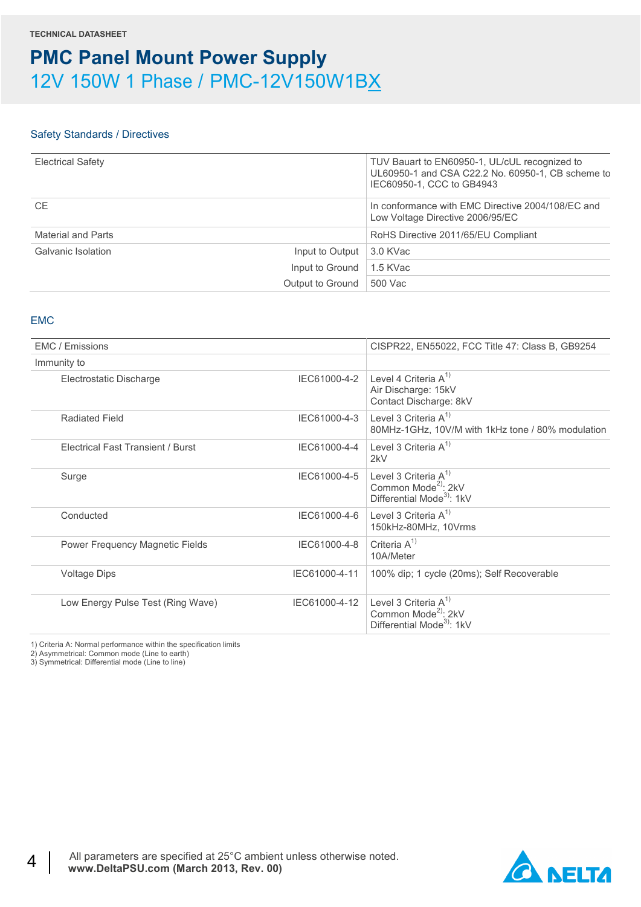#### Safety Standards / Directives

| <b>Electrical Safety</b> |                  | TUV Bauart to EN60950-1, UL/cUL recognized to<br>UL60950-1 and CSA C22.2 No. 60950-1, CB scheme to<br>IEC60950-1, CCC to GB4943 |
|--------------------------|------------------|---------------------------------------------------------------------------------------------------------------------------------|
| <b>CE</b>                |                  | In conformance with EMC Directive 2004/108/EC and<br>Low Voltage Directive 2006/95/EC                                           |
| Material and Parts       |                  | RoHS Directive 2011/65/EU Compliant                                                                                             |
| Galvanic Isolation       | Input to Output  | 3.0 KVac                                                                                                                        |
|                          | Input to Ground  | 1.5 KVac                                                                                                                        |
|                          | Output to Ground | 500 Vac                                                                                                                         |

#### EMC

| CISPR22, EN55022, FCC Title 47: Class B, GB9254<br>EMC / Emissions<br>Immunity to<br>Level 4 Criteria $A^{1}$<br>IEC61000-4-2<br>Electrostatic Discharge<br>Air Discharge: 15kV<br>Contact Discharge: 8kV<br>Level 3 Criteria $A^{1}$<br>IEC61000-4-3<br><b>Radiated Field</b><br>80MHz-1GHz, 10V/M with 1kHz tone / 80% modulation<br>Level 3 Criteria $A^{1}$<br>IEC61000-4-4<br>Electrical Fast Transient / Burst<br>2kV<br>Level 3 Criteria $A^{1}$<br>IEC61000-4-5<br>Surge<br>Common Mode <sup>2)</sup> : 2kV<br>Differential Mode <sup>3</sup> : 1kV<br>Level 3 Criteria $A^{1}$<br>IEC61000-4-6<br>Conducted<br>150kHz-80MHz, 10Vrms<br>Criteria $A^{1}$<br>IEC61000-4-8<br>Power Frequency Magnetic Fields<br>10A/Meter<br>IEC61000-4-11<br>100% dip; 1 cycle (20ms); Self Recoverable<br><b>Voltage Dips</b><br>Level 3 Criteria $A^{1}$<br>IEC61000-4-12<br>Low Energy Pulse Test (Ring Wave)<br>Common Mode <sup>2)</sup> : 2kV<br>Differential Mode <sup>3</sup> : 1kV |  |  |
|-------------------------------------------------------------------------------------------------------------------------------------------------------------------------------------------------------------------------------------------------------------------------------------------------------------------------------------------------------------------------------------------------------------------------------------------------------------------------------------------------------------------------------------------------------------------------------------------------------------------------------------------------------------------------------------------------------------------------------------------------------------------------------------------------------------------------------------------------------------------------------------------------------------------------------------------------------------------------------------|--|--|
|                                                                                                                                                                                                                                                                                                                                                                                                                                                                                                                                                                                                                                                                                                                                                                                                                                                                                                                                                                                     |  |  |
|                                                                                                                                                                                                                                                                                                                                                                                                                                                                                                                                                                                                                                                                                                                                                                                                                                                                                                                                                                                     |  |  |
|                                                                                                                                                                                                                                                                                                                                                                                                                                                                                                                                                                                                                                                                                                                                                                                                                                                                                                                                                                                     |  |  |
|                                                                                                                                                                                                                                                                                                                                                                                                                                                                                                                                                                                                                                                                                                                                                                                                                                                                                                                                                                                     |  |  |
|                                                                                                                                                                                                                                                                                                                                                                                                                                                                                                                                                                                                                                                                                                                                                                                                                                                                                                                                                                                     |  |  |
|                                                                                                                                                                                                                                                                                                                                                                                                                                                                                                                                                                                                                                                                                                                                                                                                                                                                                                                                                                                     |  |  |
|                                                                                                                                                                                                                                                                                                                                                                                                                                                                                                                                                                                                                                                                                                                                                                                                                                                                                                                                                                                     |  |  |
|                                                                                                                                                                                                                                                                                                                                                                                                                                                                                                                                                                                                                                                                                                                                                                                                                                                                                                                                                                                     |  |  |
|                                                                                                                                                                                                                                                                                                                                                                                                                                                                                                                                                                                                                                                                                                                                                                                                                                                                                                                                                                                     |  |  |
|                                                                                                                                                                                                                                                                                                                                                                                                                                                                                                                                                                                                                                                                                                                                                                                                                                                                                                                                                                                     |  |  |

1) Criteria A: Normal performance within the specification limits

2) Asymmetrical: Common mode (Line to earth) 3) Symmetrical: Differential mode (Line to line)

**A NELTA**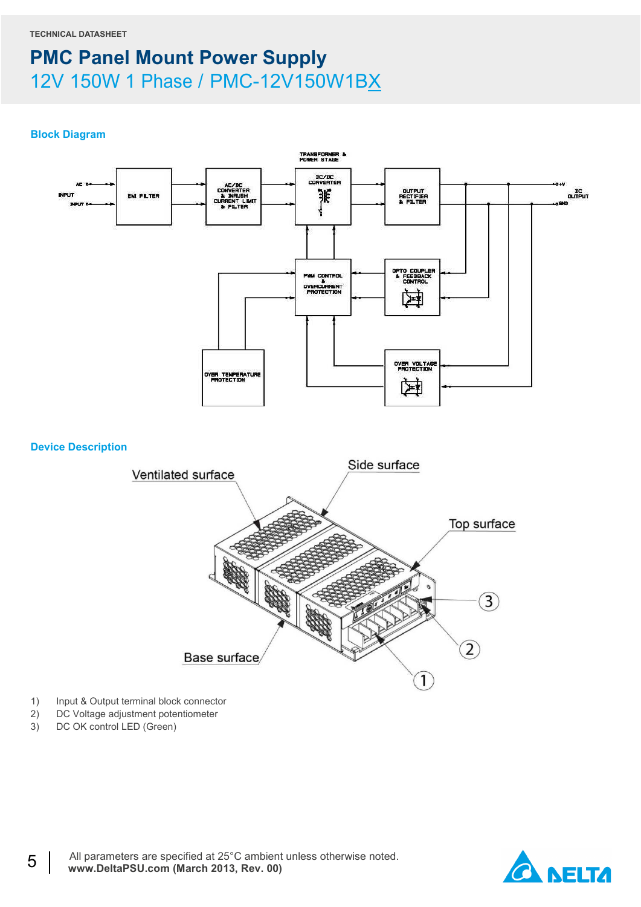#### **Block Diagram**



- 1) Input & Output terminal block connector
- 2) DC Voltage adjustment potentiometer<br>3) DC OK control LED (Green)
- DC OK control LED (Green)

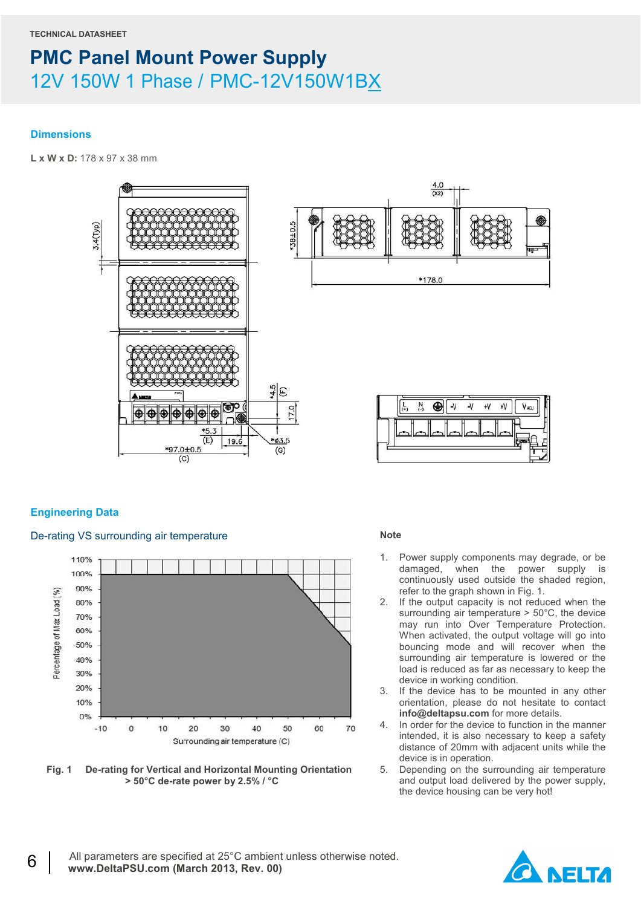#### **Dimensions**

**L x W x D:** 178 x 97 x 38 mm



#### **Engineering Data**

#### De-rating VS surrounding air temperature



**Fig. 1 De-rating for Vertical and Horizontal Mounting Orientation > 50°C de-rate power by 2.5% / °C** 

#### **Note**

- 1. Power supply components may degrade, or be damaged, when the power supply is continuously used outside the shaded region, refer to the graph shown in Fig. 1.
- 2. If the output capacity is not reduced when the surrounding air temperature > 50°C, the device may run into Over Temperature Protection. When activated, the output voltage will go into bouncing mode and will recover when the surrounding air temperature is lowered or the load is reduced as far as necessary to keep the device in working condition.
- 3. If the device has to be mounted in any other orientation, please do not hesitate to contact **info@deltapsu.com** for more details.
- 4. In order for the device to function in the manner intended, it is also necessary to keep a safety distance of 20mm with adjacent units while the device is in operation.
- 5. Depending on the surrounding air temperature and output load delivered by the power supply, the device housing can be very hot!

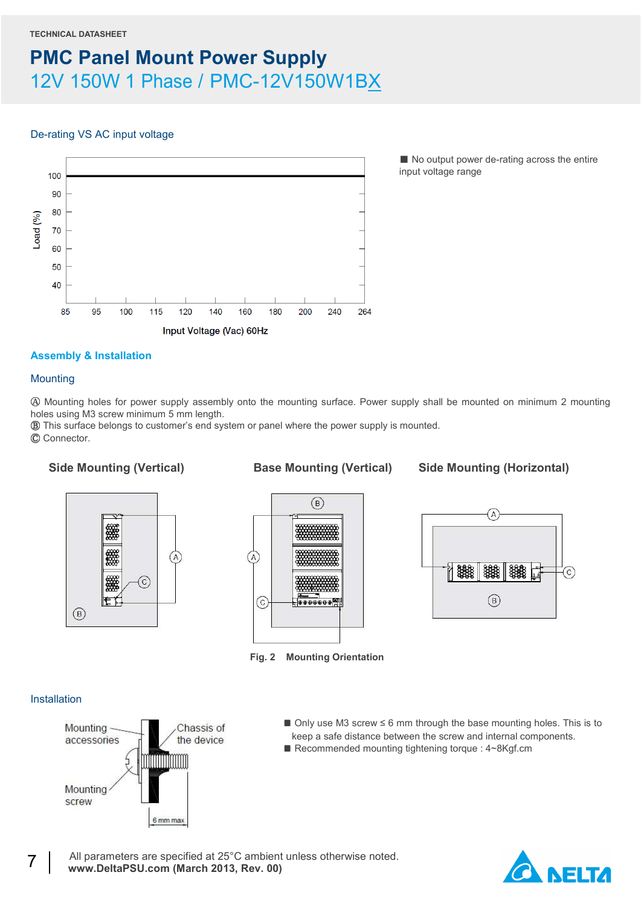### De-rating VS AC input voltage



■ No output power de-rating across the entire input voltage range

### **Assembly & Installation**

#### **Mounting**

Ⓐ Mounting holes for power supply assembly onto the mounting surface. Power supply shall be mounted on minimum 2 mounting holes using M3 screw minimum 5 mm length.

Ⓑ This surface belongs to customer's end system or panel where the power supply is mounted.

Ⓒ Connector.

Side Mounting (Vertical) **Base Mounting (Vertical)** Side Mounting (Horizontal)







**Fig. 2 Mounting Orientation**

#### **Installation**



- Only use M3 screw ≤ 6 mm through the base mounting holes. This is to keep a safe distance between the screw and internal components.
- Recommended mounting tightening torque : 4~8Kgf.cm

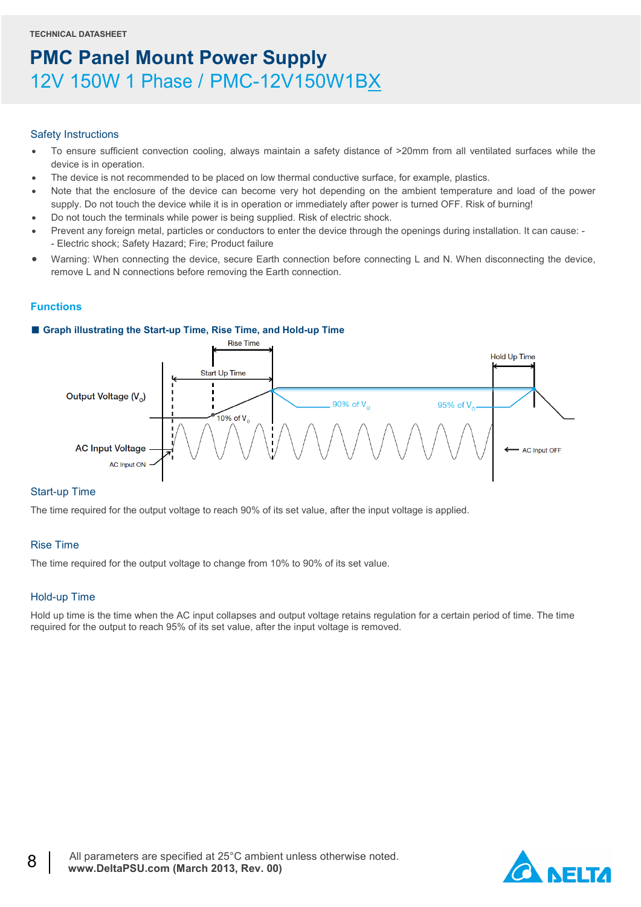#### Safety Instructions

- To ensure sufficient convection cooling, always maintain a safety distance of >20mm from all ventilated surfaces while the device is in operation.
- The device is not recommended to be placed on low thermal conductive surface, for example, plastics.
- Note that the enclosure of the device can become very hot depending on the ambient temperature and load of the power supply. Do not touch the device while it is in operation or immediately after power is turned OFF. Risk of burning!
- Do not touch the terminals while power is being supplied. Risk of electric shock.
- Prevent any foreign metal, particles or conductors to enter the device through the openings during installation. It can cause: - Electric shock; Safety Hazard; Fire; Product failure
- Warning: When connecting the device, secure Earth connection before connecting L and N. When disconnecting the device, remove L and N connections before removing the Earth connection.

#### **Functions**

#### ■ Graph illustrating the Start-up Time, Rise Time, and Hold-up Time



#### Start-up Time

The time required for the output voltage to reach 90% of its set value, after the input voltage is applied.

#### Rise Time

The time required for the output voltage to change from 10% to 90% of its set value.

#### Hold-up Time

Hold up time is the time when the AC input collapses and output voltage retains regulation for a certain period of time. The time required for the output to reach 95% of its set value, after the input voltage is removed.

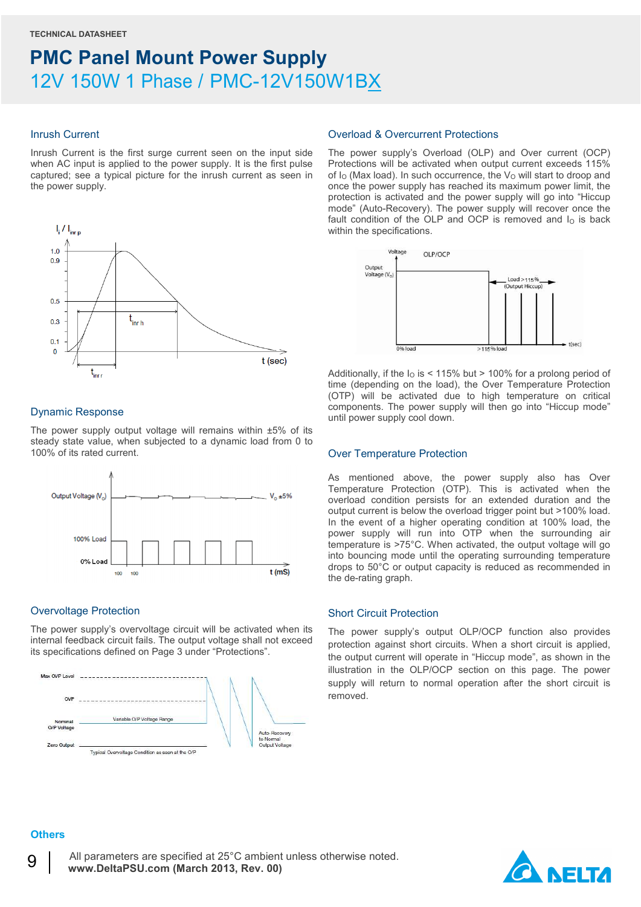#### Inrush Current

Inrush Current is the first surge current seen on the input side when AC input is applied to the power supply. It is the first pulse captured; see a typical picture for the inrush current as seen in the power supply.



#### Dynamic Response

The power supply output voltage will remains within ±5% of its steady state value, when subjected to a dynamic load from 0 to 100% of its rated current.



#### Overvoltage Protection

The power supply's overvoltage circuit will be activated when its internal feedback circuit fails. The output voltage shall not exceed its specifications defined on Page 3 under "Protections".



#### Overload & Overcurrent Protections

The power supply's Overload (OLP) and Over current (OCP) Protections will be activated when output current exceeds 115% of  $I<sub>O</sub>$  (Max load). In such occurrence, the  $V<sub>O</sub>$  will start to droop and once the power supply has reached its maximum power limit, the protection is activated and the power supply will go into "Hiccup mode" (Auto-Recovery). The power supply will recover once the fault condition of the OLP and OCP is removed and  $I<sub>O</sub>$  is back within the specifications.



Additionally, if the  $I<sub>0</sub>$  is < 115% but > 100% for a prolong period of time (depending on the load), the Over Temperature Protection (OTP) will be activated due to high temperature on critical components. The power supply will then go into "Hiccup mode" until power supply cool down.

#### Over Temperature Protection

As mentioned above, the power supply also has Over Temperature Protection (OTP). This is activated when the overload condition persists for an extended duration and the output current is below the overload trigger point but >100% load. In the event of a higher operating condition at 100% load, the power supply will run into OTP when the surrounding air temperature is >75°C. When activated, the output voltage will go into bouncing mode until the operating surrounding temperature drops to 50°C or output capacity is reduced as recommended in the de-rating graph.

#### Short Circuit Protection

The power supply's output OLP/OCP function also provides protection against short circuits. When a short circuit is applied, the output current will operate in "Hiccup mode", as shown in the illustration in the OLP/OCP section on this page. The power supply will return to normal operation after the short circuit is removed.

### **Others**